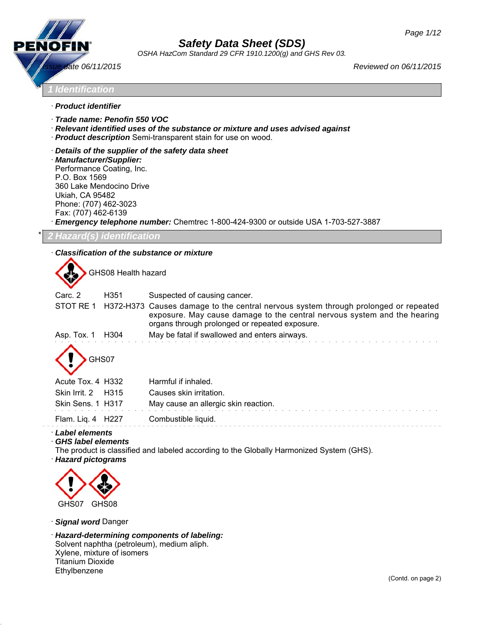

*OSHA HazCom Standard 29 CFR 1910.1200(g) and GHS Rev 03.*

\* *1 Identification*

- · *Product identifier*
- · *Trade name: Penofin 550 VOC*
- · *Relevant identified uses of the substance or mixture and uses advised against*
- · *Product description* Semi-transparent stain for use on wood.
- · *Details of the supplier of the safety data sheet*
- · *Manufacturer/Supplier:* Performance Coating, Inc. P.O. Box 1569 360 Lake Mendocino Drive Ukiah, CA 95482 Phone: (707) 462-3023 Fax: (707) 462-6139

· *Emergency telephone number:* Chemtrec 1-800-424-9300 or outside USA 1-703-527-3887

\* *2 Hazard(s) identification*

· *Classification of the substance or mixture*

GHS08 Health hazard

| Suspected of causing cancer.                                                                                                                                                                                      |
|-------------------------------------------------------------------------------------------------------------------------------------------------------------------------------------------------------------------|
| H372-H373 Causes damage to the central nervous system through prolonged or repeated<br>exposure. May cause damage to the central nervous system and the hearing<br>organs through prolonged or repeated exposure. |
| May be fatal if swallowed and enters airways.                                                                                                                                                                     |
|                                                                                                                                                                                                                   |
| Harmful if inhaled.                                                                                                                                                                                               |
| Causes skin irritation.                                                                                                                                                                                           |
| May cause an allergic skin reaction.                                                                                                                                                                              |
| Combustible liquid.                                                                                                                                                                                               |
|                                                                                                                                                                                                                   |

· *Label elements*

· *GHS label elements*

The product is classified and labeled according to the Globally Harmonized System (GHS).

· *Hazard pictograms*



· *Signal word* Danger

· *Hazard-determining components of labeling:* Solvent naphtha (petroleum), medium aliph. Xylene, mixture of isomers Titanium Dioxide Ethylbenzene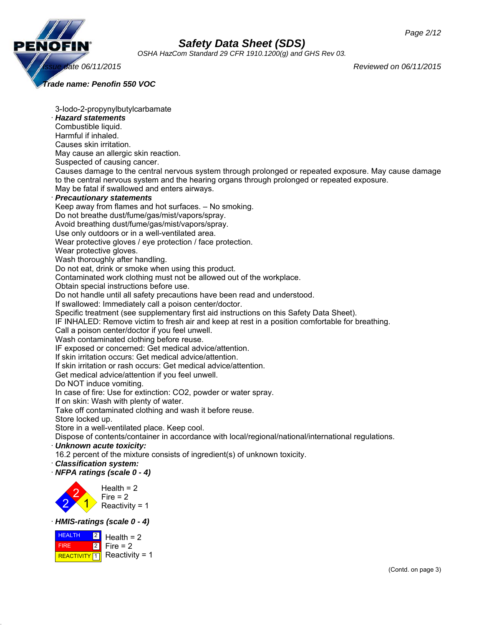

*OSHA HazCom Standard 29 CFR 1910.1200(g) and GHS Rev 03.*

*Issue date 06/11/2015 Reviewed on 06/11/2015*

*Trade name: Penofin 550 VOC*

3-Iodo-2-propynylbutylcarbamate · *Hazard statements* Combustible liquid. Harmful if inhaled. Causes skin irritation. May cause an allergic skin reaction. Suspected of causing cancer. Causes damage to the central nervous system through prolonged or repeated exposure. May cause damage to the central nervous system and the hearing organs through prolonged or repeated exposure. May be fatal if swallowed and enters airways. · *Precautionary statements* Keep away from flames and hot surfaces. – No smoking. Do not breathe dust/fume/gas/mist/vapors/spray. Avoid breathing dust/fume/gas/mist/vapors/spray. Use only outdoors or in a well-ventilated area. Wear protective gloves / eye protection / face protection. Wear protective gloves. Wash thoroughly after handling. Do not eat, drink or smoke when using this product. Contaminated work clothing must not be allowed out of the workplace. Obtain special instructions before use. Do not handle until all safety precautions have been read and understood. If swallowed: Immediately call a poison center/doctor. Specific treatment (see supplementary first aid instructions on this Safety Data Sheet). IF INHALED: Remove victim to fresh air and keep at rest in a position comfortable for breathing. Call a poison center/doctor if you feel unwell. Wash contaminated clothing before reuse. IF exposed or concerned: Get medical advice/attention. If skin irritation occurs: Get medical advice/attention. If skin irritation or rash occurs: Get medical advice/attention. Get medical advice/attention if you feel unwell. Do NOT induce vomiting. In case of fire: Use for extinction: CO2, powder or water spray. If on skin: Wash with plenty of water. Take off contaminated clothing and wash it before reuse. Store locked up. Store in a well-ventilated place. Keep cool. Dispose of contents/container in accordance with local/regional/national/international regulations. · *Unknown acute toxicity:* 16.2 percent of the mixture consists of ingredient(s) of unknown toxicity. · *Classification system:* · *NFPA ratings (scale 0 - 4)* 2 2 1  $Health = 2$  $Fire = 2$ Reactivity = 1 · *HMIS-ratings (scale 0 - 4)*

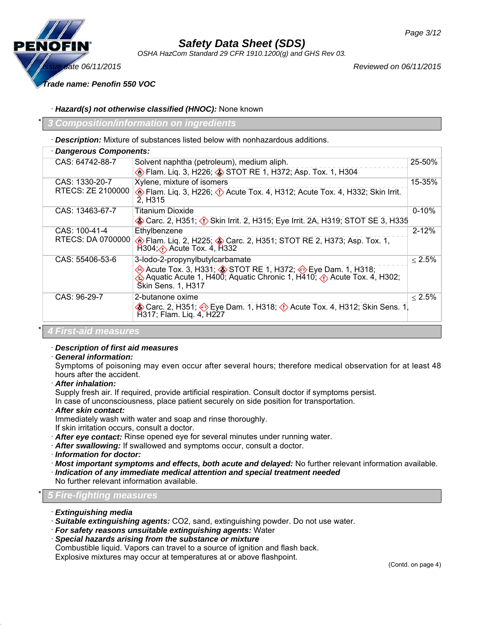

*OSHA HazCom Standard 29 CFR 1910.1200(g) and GHS Rev 03.*

*Issue date 06/11/2015 Reviewed on 06/11/2015*

*Trade name: Penofin 550 VOC*

· *Hazard(s) not otherwise classified (HNOC):* None known

\* *3 Composition/information on ingredients*

· *Description:* Mixture of substances listed below with nonhazardous additions.

|                      | · Dangerous Components:                                                                                                                                        |              |  |  |
|----------------------|----------------------------------------------------------------------------------------------------------------------------------------------------------------|--------------|--|--|
| CAS: 64742-88-7      | Solvent naphtha (petroleum), medium aliph.                                                                                                                     | 25-50%       |  |  |
|                      | <b>Elam.</b> Lig. 3, H226; STOT RE 1, H372; Asp. Tox. 1, H304                                                                                                  |              |  |  |
| CAS: 1330-20-7       | Xylene, mixture of isomers                                                                                                                                     | 15-35%       |  |  |
| RTECS: ZE 2100000    | <b>Elam.</b> Lig. 3, H226; $\Diamond$ Acute Tox. 4, H312; Acute Tox. 4, H332; Skin Irrit.<br>2, H <sub>3</sub> 15                                              |              |  |  |
| CAS: 13463-67-7      | Titanium Dioxide                                                                                                                                               | $0 - 10%$    |  |  |
|                      | Carc. 2, H351; (1) Skin Irrit. 2, H315; Eye Irrit. 2A, H319; STOT SE 3, H335                                                                                   |              |  |  |
| CAS: 100-41-4        | Ethylbenzene                                                                                                                                                   | $2 - 12%$    |  |  |
| RTECS: DA 0700000    | <b>Example 10 Fram.</b> Lig. 2, H225; <b>3</b> Carc. 2, H351; STOT RE 2, H373; Asp. Tox. 1,<br>$H304$ ; $\langle \cdot \rangle$ Acute Tox. 4, H332             |              |  |  |
| CAS: 55406-53-6      | 3-lodo-2-propynylbutylcarbamate                                                                                                                                | $\leq 2.5\%$ |  |  |
|                      | Acute Tox. 3, H331; STOT RE 1, H372; Sue Dam. 1, H318;<br>Aquatic Acute 1, H400; Aquatic Chronic 1, H410; (1) Acute Tox. 4, H302;<br><b>Skin Sens. 1, H317</b> |              |  |  |
| CAS: 96-29-7         | 2-butanone oxime                                                                                                                                               | $< 2.5\%$    |  |  |
|                      | Carc. 2, H351; Cye Dam. 1, H318; C Acute Tox. 4, H312; Skin Sens. 1,<br>H317; Flam. Liq. 4, H227                                                               |              |  |  |
| 4 First-aid measures |                                                                                                                                                                |              |  |  |

### · *Description of first aid measures*

#### · *General information:*

Symptoms of poisoning may even occur after several hours; therefore medical observation for at least 48 hours after the accident.

· *After inhalation:*

Supply fresh air. If required, provide artificial respiration. Consult doctor if symptoms persist.

In case of unconsciousness, place patient securely on side position for transportation.

· *After skin contact:*

Immediately wash with water and soap and rinse thoroughly.

If skin irritation occurs, consult a doctor.

- · *After eye contact:* Rinse opened eye for several minutes under running water.
- · *After swallowing:* If swallowed and symptoms occur, consult a doctor.
- · *Information for doctor:*
- · *Most important symptoms and effects, both acute and delayed:* No further relevant information available.
- · *Indication of any immediate medical attention and special treatment needed*
- No further relevant information available.

### \* *5 Fire-fighting measures*

- · *Extinguishing media*
- · *Suitable extinguishing agents:* CO2, sand, extinguishing powder. Do not use water.
- · *For safety reasons unsuitable extinguishing agents:* Water
- · *Special hazards arising from the substance or mixture*

Combustible liquid. Vapors can travel to a source of ignition and flash back.

Explosive mixtures may occur at temperatures at or above flashpoint.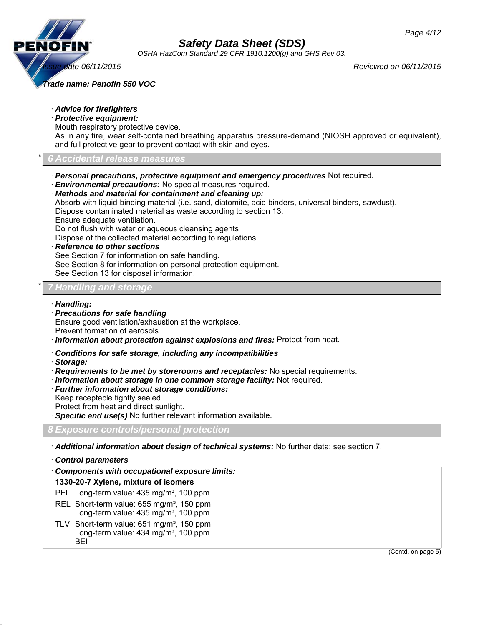

*OSHA HazCom Standard 29 CFR 1910.1200(g) and GHS Rev 03.*

*Issue date 06/11/2015 Reviewed on 06/11/2015*

*Trade name: Penofin 550 VOC*

- · *Advice for firefighters*
- · *Protective equipment:* Mouth respiratory protective device.

As in any fire, wear self-contained breathing apparatus pressure-demand (NIOSH approved or equivalent), and full protective gear to prevent contact with skin and eyes.

### \* *6 Accidental release measures*

- · *Personal precautions, protective equipment and emergency procedures* Not required.
- · *Environmental precautions:* No special measures required.
- · *Methods and material for containment and cleaning up:*

Absorb with liquid-binding material (i.e. sand, diatomite, acid binders, universal binders, sawdust). Dispose contaminated material as waste according to section 13.

Ensure adequate ventilation.

Do not flush with water or aqueous cleansing agents

Dispose of the collected material according to regulations.

· *Reference to other sections*

See Section 7 for information on safe handling.

See Section 8 for information on personal protection equipment.

See Section 13 for disposal information.

### \* *7 Handling and storage*

#### · *Handling:*

· *Precautions for safe handling* Ensure good ventilation/exhaustion at the workplace. Prevent formation of aerosols.

· *Information about protection against explosions and fires:* Protect from heat.

- · *Conditions for safe storage, including any incompatibilities*
- · *Storage:*
- · *Requirements to be met by storerooms and receptacles:* No special requirements.
- · *Information about storage in one common storage facility:* Not required.
- · *Further information about storage conditions:*
- Keep receptacle tightly sealed. Protect from heat and direct sunlight.
- · *Specific end use(s)* No further relevant information available.

### *8 Exposure controls/personal protection*

· *Additional information about design of technical systems:* No further data; see section 7.

#### · *Control parameters*

| Components with occupational exposure limits: |                                                                                                                 |
|-----------------------------------------------|-----------------------------------------------------------------------------------------------------------------|
|                                               | 1330-20-7 Xylene, mixture of isomers                                                                            |
|                                               | PEL Long-term value: 435 mg/m <sup>3</sup> , 100 ppm                                                            |
|                                               | REL Short-term value: 655 mg/m <sup>3</sup> , 150 ppm<br>Long-term value: 435 mg/m <sup>3</sup> , 100 ppm       |
|                                               | TLV Short-term value: $651 \text{ mg/m}^3$ , 150 ppm<br>Long-term value: 434 mg/m <sup>3</sup> , 100 ppm<br>BEI |
|                                               | (Contd. on page 5)                                                                                              |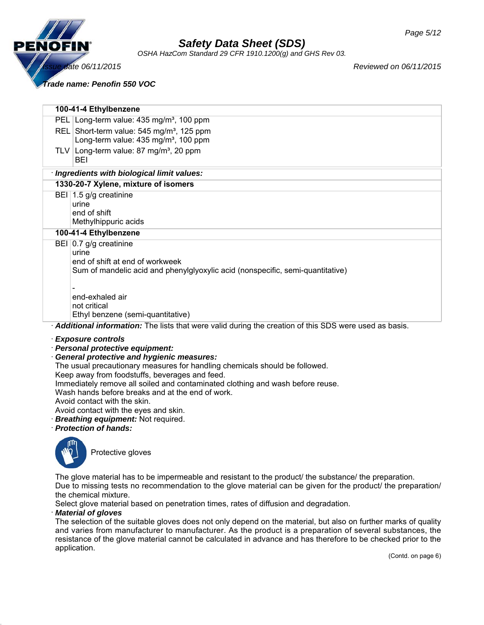

*OSHA HazCom Standard 29 CFR 1910.1200(g) and GHS Rev 03.*

*Issue date 06/11/2015 Reviewed on 06/11/2015*

*Trade name: Penofin 550 VOC*

**100-41-4 Ethylbenzene**

| <b>IVU-4 I-4 EUIVIDEIIZEIIE</b>                                                                       |
|-------------------------------------------------------------------------------------------------------|
| PEL Long-term value: 435 mg/m <sup>3</sup> , 100 ppm                                                  |
| REL Short-term value: 545 mg/m <sup>3</sup> , 125 ppm                                                 |
| Long-term value: 435 mg/m <sup>3</sup> , 100 ppm                                                      |
| TLV Long-term value: 87 mg/m <sup>3</sup> , 20 ppm<br>BEI                                             |
| · Ingredients with biological limit values:                                                           |
| 1330-20-7 Xylene, mixture of isomers                                                                  |
| BEI 1.5 g/g creatinine                                                                                |
| urine                                                                                                 |
| end of shift                                                                                          |
| Methylhippuric acids                                                                                  |
| 100-41-4 Ethylbenzene                                                                                 |
| BEI $ 0.7 $ g/g creatinine                                                                            |
| urine                                                                                                 |
| end of shift at end of workweek                                                                       |
| Sum of mandelic acid and phenylglyoxylic acid (nonspecific, semi-quantitative)                        |
|                                                                                                       |
| end-exhaled air                                                                                       |
| not critical                                                                                          |
| Ethyl benzene (semi-quantitative)                                                                     |
| Additional information: The lists that were valid during the creation of this SDS were used as basis. |
|                                                                                                       |

· *Exposure controls*

### · *Personal protective equipment:*

· *General protective and hygienic measures:*

The usual precautionary measures for handling chemicals should be followed.

Keep away from foodstuffs, beverages and feed.

Immediately remove all soiled and contaminated clothing and wash before reuse.

Wash hands before breaks and at the end of work.

Avoid contact with the skin.

Avoid contact with the eyes and skin.

· *Breathing equipment:* Not required.

· *Protection of hands:*



Protective gloves

The glove material has to be impermeable and resistant to the product/ the substance/ the preparation.

Due to missing tests no recommendation to the glove material can be given for the product/ the preparation/ the chemical mixture.

Select glove material based on penetration times, rates of diffusion and degradation.

#### · *Material of gloves*

The selection of the suitable gloves does not only depend on the material, but also on further marks of quality and varies from manufacturer to manufacturer. As the product is a preparation of several substances, the resistance of the glove material cannot be calculated in advance and has therefore to be checked prior to the application.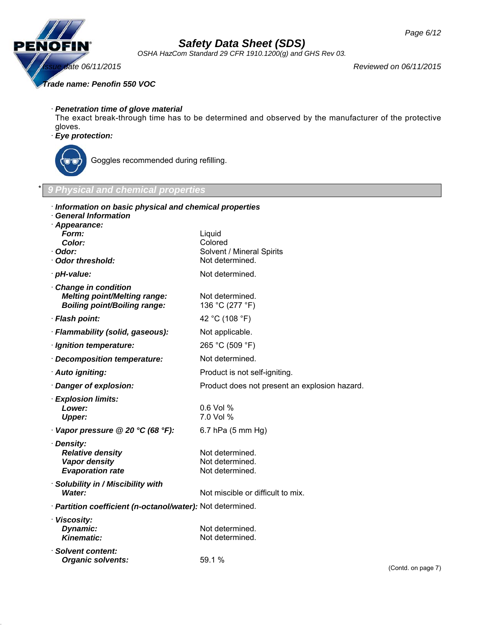

*OSHA HazCom Standard 29 CFR 1910.1200(g) and GHS Rev 03.*

*Issue date 06/11/2015 Reviewed on 06/11/2015*

*Trade name: Penofin 550 VOC*

· *Penetration time of glove material*

The exact break-through time has to be determined and observed by the manufacturer of the protective gloves.

### · *Eye protection:*



Goggles recommended during refilling.

### \* *9 Physical and chemical properties*

| Information on basic physical and chemical properties<br><b>General Information</b><br>· Appearance: |                                               |                     |
|------------------------------------------------------------------------------------------------------|-----------------------------------------------|---------------------|
| Form:                                                                                                | Liquid                                        |                     |
| Color:                                                                                               | Colored                                       |                     |
| · Odor:<br>· Odor threshold:                                                                         | Solvent / Mineral Spirits<br>Not determined.  |                     |
| · pH-value:                                                                                          | Not determined.                               |                     |
| Change in condition                                                                                  |                                               |                     |
| <b>Melting point/Melting range:</b><br><b>Boiling point/Boiling range:</b>                           | Not determined.<br>136 °C (277 °F)            |                     |
| · Flash point:                                                                                       | 42 °C (108 °F)                                |                     |
| · Flammability (solid, gaseous):                                                                     | Not applicable.                               |                     |
| · Ignition temperature:                                                                              | 265 °C (509 °F)                               |                     |
| · Decomposition temperature:                                                                         | Not determined.                               |                     |
| · Auto igniting:                                                                                     | Product is not self-igniting.                 |                     |
| Danger of explosion:                                                                                 | Product does not present an explosion hazard. |                     |
| · Explosion limits:                                                                                  |                                               |                     |
| Lower:                                                                                               | 0.6 Vol %                                     |                     |
| <b>Upper:</b>                                                                                        | 7.0 Vol %                                     |                     |
| Vapor pressure @ 20 °C (68 °F):                                                                      | $6.7$ hPa $(5 \text{ mm Hg})$                 |                     |
| · Density:                                                                                           | Not determined.                               |                     |
| <b>Relative density</b><br>Vapor density                                                             | Not determined.                               |                     |
| <b>Evaporation rate</b>                                                                              | Not determined.                               |                     |
| · Solubility in / Miscibility with                                                                   |                                               |                     |
| Water:                                                                                               | Not miscible or difficult to mix.             |                     |
| · Partition coefficient (n-octanol/water): Not determined.                                           |                                               |                     |
| · Viscosity:                                                                                         |                                               |                     |
| Dynamic:                                                                                             | Not determined.                               |                     |
| <b>Kinematic:</b>                                                                                    | Not determined.                               |                     |
| · Solvent content:                                                                                   |                                               |                     |
| <b>Organic solvents:</b>                                                                             | 59.1 %                                        | $(C \cap \cap \cap$ |
|                                                                                                      |                                               |                     |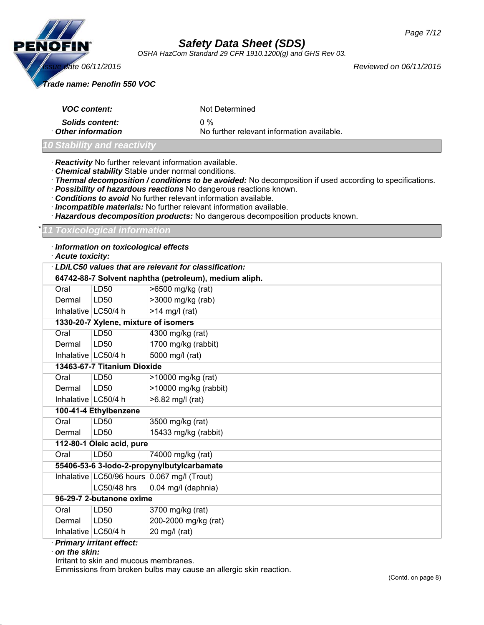

*OSHA HazCom Standard 29 CFR 1910.1200(g) and GHS Rev 03.*

*Trade name: Penofin 550 VOC*

| <b>VOC content:</b>    | Not Determined                             |
|------------------------|--------------------------------------------|
| <b>Solids content:</b> | $0\%$                                      |
| Other information      | No further relevant information available. |

### *10 Stability and reactivity*

- · *Reactivity* No further relevant information available.
- · *Chemical stability* Stable under normal conditions.
- · *Thermal decomposition / conditions to be avoided:* No decomposition if used according to specifications.
- · *Possibility of hazardous reactions* No dangerous reactions known.
- · *Conditions to avoid* No further relevant information available.
- · *Incompatible materials:* No further relevant information available.
- · *Hazardous decomposition products:* No dangerous decomposition products known.

\* *11 Toxicological information*

### · *Information on toxicological effects*

· *Acute toxicity:*

| LD/LC50 values that are relevant for classification: |                                                       |                                             |  |
|------------------------------------------------------|-------------------------------------------------------|---------------------------------------------|--|
|                                                      | 64742-88-7 Solvent naphtha (petroleum), medium aliph. |                                             |  |
| Oral                                                 | LD <sub>50</sub>                                      | >6500 mg/kg (rat)                           |  |
| Dermal                                               | LD50                                                  | >3000 mg/kg (rab)                           |  |
| Inhalative   LC50/4 h                                |                                                       | $>14$ mg/l (rat)                            |  |
|                                                      | 1330-20-7 Xylene, mixture of isomers                  |                                             |  |
| Oral                                                 | <b>LD50</b>                                           | 4300 mg/kg (rat)                            |  |
| Dermal                                               | LD50                                                  | 1700 mg/kg (rabbit)                         |  |
| Inhalative   LC50/4 h                                |                                                       | 5000 mg/l (rat)                             |  |
|                                                      | 13463-67-7 Titanium Dioxide                           |                                             |  |
| Oral                                                 | LD <sub>50</sub>                                      | >10000 mg/kg (rat)                          |  |
| Dermal                                               | LD <sub>50</sub>                                      | >10000 mg/kg (rabbit)                       |  |
| Inhalative   LC50/4 h                                |                                                       | >6.82 mg/l (rat)                            |  |
|                                                      | 100-41-4 Ethylbenzene                                 |                                             |  |
| Oral                                                 | LD50                                                  | 3500 mg/kg (rat)                            |  |
| Dermal                                               | LD50                                                  | 15433 mg/kg (rabbit)                        |  |
|                                                      | 112-80-1 Oleic acid, pure                             |                                             |  |
| Oral                                                 | LD50                                                  | 74000 mg/kg (rat)                           |  |
|                                                      | 55406-53-6 3-lodo-2-propynylbutylcarbamate            |                                             |  |
|                                                      |                                                       | Inhalative LC50/96 hours 0.067 mg/l (Trout) |  |
|                                                      | LC50/48 hrs                                           | 0.04 mg/l (daphnia)                         |  |
| 96-29-7 2-butanone oxime                             |                                                       |                                             |  |
| Oral                                                 | LD50                                                  | 3700 mg/kg (rat)                            |  |
| Dermal                                               | LD50                                                  | 200-2000 mg/kg (rat)                        |  |
| Inhalative   LC50/4 h                                |                                                       | 20 mg/l (rat)                               |  |

#### · *Primary irritant effect:*

· *on the skin:*

Irritant to skin and mucous membranes.

Emmissions from broken bulbs may cause an allergic skin reaction.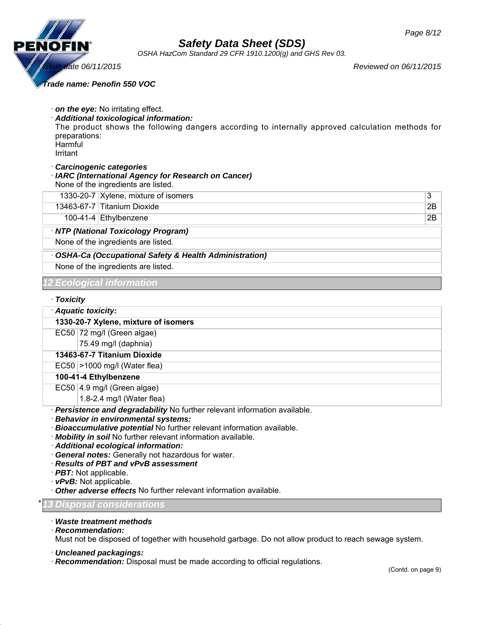

*OSHA HazCom Standard 29 CFR 1910.1200(g) and GHS Rev 03.*

*Issue date 06/11/2015 Reviewed on 06/11/2015*

*Trade name: Penofin 550 VOC*

| preparations:<br>Harmful<br>Irritant | $\cdot$ on the eye: No irritating effect.<br>· Additional toxicological information:<br>The product shows the following dangers according to internally approved calculation methods for |    |
|--------------------------------------|------------------------------------------------------------------------------------------------------------------------------------------------------------------------------------------|----|
|                                      | · Carcinogenic categories<br>· IARC (International Agency for Research on Cancer)<br>None of the ingredients are listed.                                                                 |    |
|                                      | 1330-20-7 Xylene, mixture of isomers                                                                                                                                                     | 3  |
|                                      | 13463-67-7 Titanium Dioxide                                                                                                                                                              | 2Β |
|                                      | 100-41-4 $ Ethylbenzene$                                                                                                                                                                 | 2Β |
|                                      | · NTP (National Toxicology Program)                                                                                                                                                      |    |
|                                      | None of the ingredients are listed.                                                                                                                                                      |    |
|                                      | <b>OSHA-Ca (Occupational Safety &amp; Health Administration)</b>                                                                                                                         |    |
|                                      | None of the ingredients are listed.                                                                                                                                                      |    |
|                                      | 12 Ecological information                                                                                                                                                                |    |
| · Toxicity                           |                                                                                                                                                                                          |    |

## · *Aquatic toxicity:*

#### **1330-20-7 Xylene, mixture of isomers**

EC50 72 mg/l (Green algae)

75.49 mg/l (daphnia)

#### **13463-67-7 Titanium Dioxide**

EC50 >1000 mg/l (Water flea)

**100-41-4 Ethylbenzene**

EC50 4.9 mg/l (Green algae)

1.8-2.4 mg/l (Water flea)

· *Persistence and degradability* No further relevant information available.

- · *Behavior in environmental systems:*
- · *Bioaccumulative potential* No further relevant information available.
- · *Mobility in soil* No further relevant information available.
- · *Additional ecological information:*
- · *General notes:* Generally not hazardous for water.
- · *Results of PBT and vPvB assessment*
- · *PBT:* Not applicable.
- · *vPvB:* Not applicable.
- · *Other adverse effects* No further relevant information available.

### \* *13 Disposal considerations*

- · *Waste treatment methods*
- · *Recommendation:*

Must not be disposed of together with household garbage. Do not allow product to reach sewage system.

· *Uncleaned packagings:*

· *Recommendation:* Disposal must be made according to official regulations.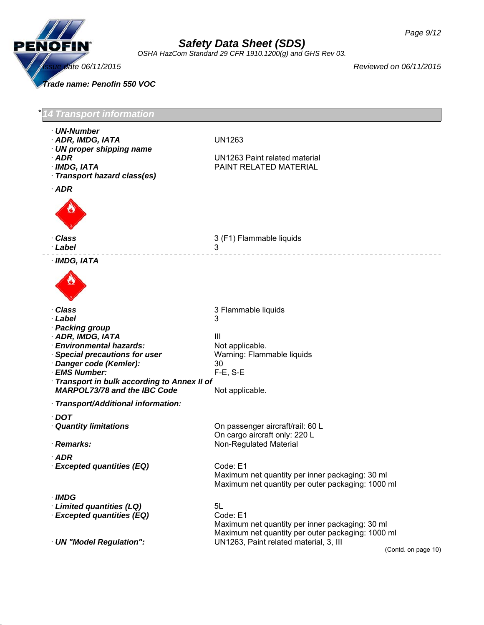

*OSHA HazCom Standard 29 CFR 1910.1200(g) and GHS Rev 03.*

*Trade name: Penofin 550 VOC*

| <b>Transport information</b>                                                                                                                    |                                                                                                                        |
|-------------------------------------------------------------------------------------------------------------------------------------------------|------------------------------------------------------------------------------------------------------------------------|
| · UN-Number<br>· ADR, IMDG, IATA<br>$\cdot$ UN proper shipping name<br>$·$ ADR<br>· IMDG, IATA<br>· Transport hazard class(es)                  | <b>UN1263</b><br>UN1263 Paint related material<br>PAINT RELATED MATERIAL                                               |
| $·$ ADR<br>· Class                                                                                                                              | 3 (F1) Flammable liquids                                                                                               |
| · Label                                                                                                                                         | 3                                                                                                                      |
| · IMDG, IATA                                                                                                                                    |                                                                                                                        |
| · Class<br>· Label<br>· Packing group<br>· ADR, IMDG, IATA<br>· Environmental hazards:<br>Special precautions for user<br>Danger code (Kemler): | 3 Flammable liquids<br>3<br>Ш<br>Not applicable.<br>Warning: Flammable liquids<br>30                                   |
| · EMS Number:<br>Transport in bulk according to Annex II of<br><b>MARPOL73/78 and the IBC Code</b>                                              | $F-E$ , S-E<br>Not applicable.                                                                                         |
| · Transport/Additional information:                                                                                                             |                                                                                                                        |
| $\cdot$ DOT<br><b>Quantity limitations</b><br>· Remarks:                                                                                        | On passenger aircraft/rail: 60 L<br>On cargo aircraft only: 220 L<br><b>Non-Regulated Material</b>                     |
| <b>ADR</b><br>· Excepted quantities (EQ)                                                                                                        | Code: E1<br>Maximum net quantity per inner packaging: 30 ml<br>Maximum net quantity per outer packaging: 1000 ml       |
| · IMDG<br>· Limited quantities (LQ)<br>· Excepted quantities (EQ)                                                                               | 5L<br>Code: E1<br>Maximum net quantity per inner packaging: 30 ml<br>Maximum net quantity per outer packaging: 1000 ml |
| · UN "Model Regulation":                                                                                                                        | UN1263, Paint related material, 3, III<br>(Contd. on page 10)                                                          |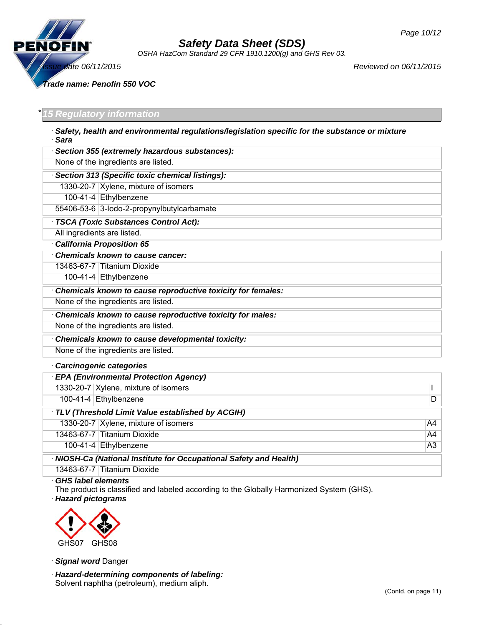

*OSHA HazCom Standard 29 CFR 1910.1200(g) and GHS Rev 03.*

*Issue date 06/11/2015 Reviewed on 06/11/2015*

*Trade name: Penofin 550 VOC*

### \* *15 Regulatory information*

| Safety, health and environmental regulations/legislation specific for the substance or mixture<br>· Sara |
|----------------------------------------------------------------------------------------------------------|
| Section 355 (extremely hazardous substances):                                                            |
| None of the ingredients are listed.                                                                      |
| Section 313 (Specific toxic chemical listings):                                                          |
| 1330-20-7 Xylene, mixture of isomers                                                                     |
| 100-41-4 Ethylbenzene                                                                                    |
| 55406-53-6 3-lodo-2-propynylbutylcarbamate                                                               |
| · TSCA (Toxic Substances Control Act):                                                                   |
| All ingredients are listed.                                                                              |
| <b>California Proposition 65</b>                                                                         |
| <b>Chemicals known to cause cancer:</b>                                                                  |
| 13463-67-7 Titanium Dioxide                                                                              |
| 100-41-4 Ethylbenzene                                                                                    |
| Chemicals known to cause reproductive toxicity for females:                                              |
| None of the ingredients are listed.                                                                      |
| Chemicals known to cause reproductive toxicity for males:                                                |
| None of the ingredients are listed.                                                                      |
| Chemicals known to cause developmental toxicity:                                                         |
| None of the ingredients are listed.                                                                      |
| <b>Carcinogenic categories</b>                                                                           |

| <b>EPA (Environmental Protection Agency)</b>                       |                                      |                |
|--------------------------------------------------------------------|--------------------------------------|----------------|
|                                                                    | 1330-20-7 Xylene, mixture of isomers |                |
|                                                                    | 100-41-4 Ethylbenzene                | D              |
| TLV (Threshold Limit Value established by ACGIH)                   |                                      |                |
|                                                                    | 1330-20-7 Xylene, mixture of isomers | A4             |
|                                                                    | 13463-67-7 Titanium Dioxide          | A4             |
|                                                                    | 100-41-4 $ Ethylbenzene$             | A <sub>3</sub> |
| · NIOSH-Ca (National Institute for Occupational Safety and Health) |                                      |                |
|                                                                    | 13463-67-7 Titanium Dioxide          |                |

#### · *GHS label elements*

The product is classified and labeled according to the Globally Harmonized System (GHS).

· *Hazard pictograms*



· *Signal word* Danger

· *Hazard-determining components of labeling:* Solvent naphtha (petroleum), medium aliph.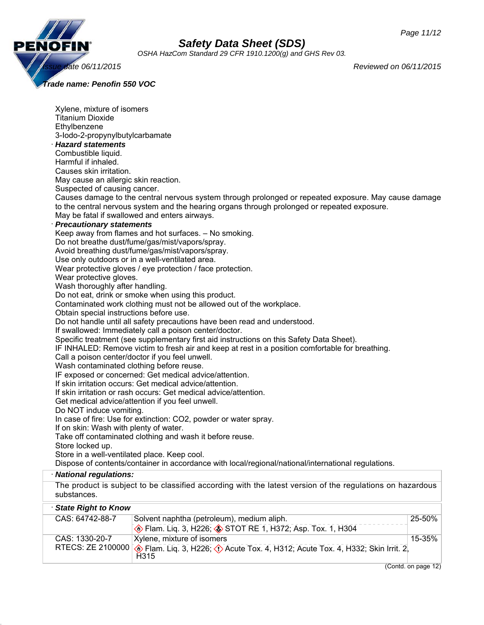

*OSHA HazCom Standard 29 CFR 1910.1200(g) and GHS Rev 03.*

*Trade name: Penofin 550 VOC*

| Xylene, mixture of isomers<br><b>Titanium Dioxide</b><br>Ethylbenzene<br>3-lodo-2-propynylbutylcarbamate<br>· Hazard statements<br>Combustible liquid.<br>Harmful if inhaled.<br>Causes skin irritation.<br>May cause an allergic skin reaction.<br>Suspected of causing cancer.<br>· Precautionary statements | Causes damage to the central nervous system through prolonged or repeated exposure. May cause damage<br>to the central nervous system and the hearing organs through prolonged or repeated exposure.<br>May be fatal if swallowed and enters airways. |  |  |
|----------------------------------------------------------------------------------------------------------------------------------------------------------------------------------------------------------------------------------------------------------------------------------------------------------------|-------------------------------------------------------------------------------------------------------------------------------------------------------------------------------------------------------------------------------------------------------|--|--|
| Keep away from flames and hot surfaces. - No smoking.<br>Do not breathe dust/fume/gas/mist/vapors/spray.<br>Avoid breathing dust/fume/gas/mist/vapors/spray.<br>Use only outdoors or in a well-ventilated area.                                                                                                |                                                                                                                                                                                                                                                       |  |  |
|                                                                                                                                                                                                                                                                                                                | Wear protective gloves / eye protection / face protection.<br>Wear protective gloves.<br>Wash thoroughly after handling.<br>Do not eat, drink or smoke when using this product.                                                                       |  |  |
| Contaminated work clothing must not be allowed out of the workplace.<br>Obtain special instructions before use.<br>Do not handle until all safety precautions have been read and understood.<br>If swallowed: Immediately call a poison center/doctor.                                                         |                                                                                                                                                                                                                                                       |  |  |
| Specific treatment (see supplementary first aid instructions on this Safety Data Sheet).<br>IF INHALED: Remove victim to fresh air and keep at rest in a position comfortable for breathing.<br>Call a poison center/doctor if you feel unwell.<br>Wash contaminated clothing before reuse.                    |                                                                                                                                                                                                                                                       |  |  |
| IF exposed or concerned: Get medical advice/attention.<br>If skin irritation occurs: Get medical advice/attention.<br>If skin irritation or rash occurs: Get medical advice/attention.<br>Get medical advice/attention if you feel unwell.                                                                     |                                                                                                                                                                                                                                                       |  |  |
|                                                                                                                                                                                                                                                                                                                | Do NOT induce vomiting.<br>In case of fire: Use for extinction: CO2, powder or water spray.<br>If on skin: Wash with plenty of water.<br>Take off contaminated clothing and wash it before reuse.                                                     |  |  |
| Store locked up.<br>Store in a well-ventilated place. Keep cool.<br>Dispose of contents/container in accordance with local/regional/national/international regulations.                                                                                                                                        |                                                                                                                                                                                                                                                       |  |  |
| · National regulations:                                                                                                                                                                                                                                                                                        |                                                                                                                                                                                                                                                       |  |  |
| substances.                                                                                                                                                                                                                                                                                                    | The product is subject to be classified according with the latest version of the regulations on hazardous                                                                                                                                             |  |  |
| · State Right to Know                                                                                                                                                                                                                                                                                          |                                                                                                                                                                                                                                                       |  |  |
| CAS: 64742-88-7                                                                                                                                                                                                                                                                                                | Solvent naphtha (petroleum), medium aliph.<br>25-50%<br><b>Elam.</b> Lig. 3, H226; STOT RE 1, H372; Asp. Tox. 1, H304                                                                                                                                 |  |  |
| CAS: 1330-20-7<br>RTECS: ZE 2100000                                                                                                                                                                                                                                                                            | Xylene, mixture of isomers<br>15-35%<br>Flam. Liq. 3, H226; (1) Acute Tox. 4, H312; Acute Tox. 4, H332; Skin Irrit. 2,<br>H <sub>3</sub> 15                                                                                                           |  |  |
|                                                                                                                                                                                                                                                                                                                | $\overline{(Contd. on page 12)}$                                                                                                                                                                                                                      |  |  |